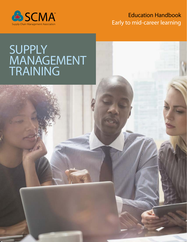

## Education Handbook Early to mid-career learning

## **SUPPLY MANAGEMENT** TRAINING

**ANGELINE ANGELIA**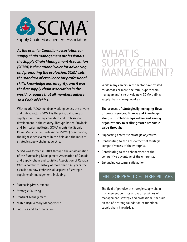

*As the premier Canadian association for supply chain management professionals, the Supply Chain Management Association (SCMA) is the national voice for advancing and promoting the profession. SCMA sets the standard of excellence for professional skills, knowledge and integrity, and it was the first supply chain association in the world to require that all members adhere to a Code of Ethics.* 

With nearly 7,000 members working across the private and public sectors, SCMA is the principal source of supply chain training, education and professional development in the country. Through its ten Provincial and Territorial Institutes, SCMA grants the Supply Chain Management Professional (SCMP) designation, the highest achievement in the field and the mark of strategic supply chain leadership.

SCMA was formed in 2013 through the amalgamation of the Purchasing Management Association of Canada and Supply Chain and Logistics Association of Canada. With a combined history of more than 140 years, the association now embraces all aspects of strategic supply chain management, including:

- Purchasing/Procurement
- **Strategic Sourcing**
- Contract Management
- Materials/Inventory Management
- Logistics and Transportation

## WHAT IS SUPPLY CHAIN MANAGEMENT?

While many careers in the sector have existed for decades or more, the term 'supply chain management' is relatively new. SCMA defines supply chain management as:

 **The process of strategically managing flows of goods, services, finance and knowledge, along with relationships within and among organizations, to realize greater economic value through:**

- Supporting enterprise strategic objectives.
- Contributing to the achievement of strategic competitiveness of the enterprise.
- Contributing to the enhancement of the competitive advantage of the enterprise.
- Enhancing customer satisfaction

## FIELD OF PRACTICE: THREE PILLARS

The field of practice of strategic supply chain management consists of the three pillars of management, strategy and professionalism built on top of a strong foundation of functional supply chain knowledge.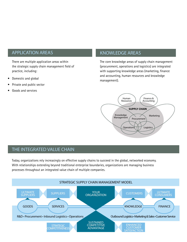### APPLICATION AREAS KNOWLEDGE AREAS

There are multiple application areas within the strategic supply chain management field of practice, including:

- Domestic and global
- Private and public sector
- Goods and services

The core knowledge areas of supply chain management (procurement, operations and logistics) are integrated with supporting knowledge areas (marketing, finance and accounting, human resources and knowledge management).



### THE INTEGRATED VALUE CHAIN

Today, organizations rely increasingly on effective supply chains to succeed in the global, networked economy. With relationships extending beyond traditional enterprise boundaries, organizations are managing business processes throughout an integrated value chain of multiple companies.

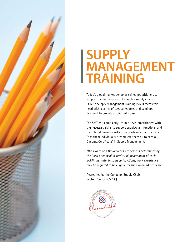

# **SUPPLY MANAGEMENT TRAINING**

Today's global market demands skilled practitioners to support the management of complex supply chains. SCMA's Supply Management Training (SMT) meets this need with a series of tactical courses and seminars designed to provide a solid skills base.

The SMT will equip early- to mid-level practitioners with the necessary skills to support supplychain functions, and the related business skills to help advance their careers. Take them individually orcomplete them all to earn a Diploma/Certificate\* in Supply Management.

\*The award of a Diploma or Certificate is determined by the local provincial or territorial government of each SCMA Institute. In some jurisdictions, work experience may be required to be eligible for the Diploma/Certificate.

Accredited by the Canadian Supply Chain Sector Council (CSCSC).

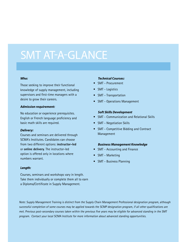# SMT AT-A-GLANCE

#### *Who:*

Those seeking to improve their functional knowledge of supply management, including supervisors and first-time managers with a desire to grow their careers.

#### *Admission requirement:*

No education or experience prerequisites. English or French language proficiency and basic math skills are required.

#### *Delivery:*

Courses and seminars are delivered through SCMA's Institutes. Candidates can choose from two different options: **instructor-led** or **online delivery**. The instructor-led option is offered only in locations where numbers warrant.

### *Technical Courses:*

- SMT Procurement
- SMT Logistics
- SMT Transportation
- SMT Operations Management

#### *Soft Skills Development*

- SMT Communication and Relational Skills
- SMT Negotiation Skills
- SMT Competitive Bidding and Contract Management

### *Business Management Knowledge*

- SMT Accounting and Finance
- SMT Marketing
- SMT Business Planning

#### *Length:*

Courses, seminars and workshops vary in length. Take them individually or complete them all to earn a Diploma/Certificate in Supply Management.

Note: Supply Management Training is distinct from the Supply Chain Management Professional designation program, although successful completion of some courses may be applied towards the SCMP designation program, if all other qualifications are met. Previous post-secondary courses taken within the previous five years may be eligible for advanced standing in the SMT program. Contact your local SCMA Institute for more information about advanced standing opportunities.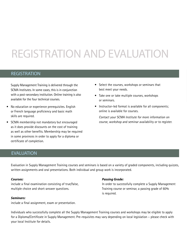# REGISTRATION AND EVALUATION

### REGISTRATION

Supply Management Training is delivered through the SCMA Institutes. In some cases, this is in conjunction with a post-secondary institution. Online training is also available for the four technical courses.

- No education or experience prerequisites. English or French language proficiency and basic math skills are required.
- SCMA membership not mandatory but encouraged as it does provide discounts on the cost of training as well as other benefits. Membership may be required in some provinces in order to apply for a diploma or certificate of completion.
- Select the courses, workshops or seminars that best meet your needs.
- Take one or take multiple courses, workshops or seminars.
- Instructor-led format is available for all components; online is available for courses.

Contact your SCMA Institute for more information on course, workshop and seminar availability or to register.

### EVALUATION

Evaluation in Supply Management Training courses and seminars is based on a variety of graded components, including quizzes, written assignments and oral presentations. Both individual and group work is incorporated.

### *Courses:*

include a final examination consisting of true/false, multiple choice and short-answer questions.

### *Seminars:*

include a final assignment, exam or presentation.

### *Passing Grade:*

In order to successfully complete a Supply Management Training course or seminar, a passing grade of 60% is required.

Individuals who successfully complete all the Supply Management Training courses and workshops may be eligible to apply for a Diploma/Certificate in Supply Management. Pre-requisites may vary depending on local legislation – please check with your local Institute for details.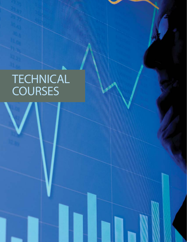# **TECHNICAL COURSES**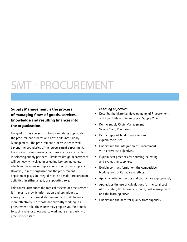# SMT - PROCUREMENT

### **Supply Management is the process of managing flows of goods, services, knowledge and resulting finances into the organization.**

The goal of this course is to have candidates appreciate the procurement process and how it fits into Supply Management. The procurement process extends well beyond the boundaries of the procurement department. For instance, senior management may be heavily involved in selecting supply partners. Similarly, design departments will be heavily involved in selecting key technologies, which will have major implications in selecting suppliers. However, in most organizations the procurement department plays an integral role in all major procurement activities, in either a lead, or supporting role.

This course introduces the tactical aspects of procurement. It intends to provide information and techniques to allow junior to intermediate procurement staff to work more effectively. For those not currently working in a procurement role, the course may prepare you for a move to such a role, or allow you to work more effectively with procurement staff.

### *Learning objectives:*

- Describe the historical developments of Procurement and how it fits within an overall Supply Chain.
- Define Supply Chain Management, Value-Chain, Purchasing.
- Define types of Tender processes and explain their uses.
- Understand the Integration of Procurement with enterprise objectives.
- Explain best practices for sourcing, selecting and evaluating suppliers.
- Explain contract formation, the competitive bidding laws of Canada and ethics.
- Apply negotiation tactics and techniques appropriately.
- Appreciate the use of calculations for the total cost of ownership, the break-even point, cost management and the learning curve.
- Understand the need for quality from suppliers.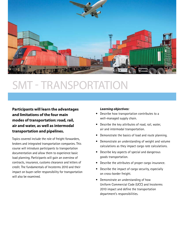

# SMT - TRANSPORTATION

**Participants will learn the advantages and limitations of the four main modes of transportation: road, rail, air and water, as well as intermodal transportation and pipelines.**

Topics covered include the role of freight forwarders, brokers and integrated transportation companies. This course will introduce participants to transportation documentation and allow them to experience basic load planning. Participants will gain an overview of contracts, insurance, customs clearance and letters of credit. The fundamentals of Incoterms 2010 and their impact on buyer-seller responsibility for transportation will also be examined.

### *Learning objectives:*

- Describe how transportation contributes to a well-managed supply chain.
- Describe the key attributes of road, rail, water, air and intermodal transportation.
- Demonstrate the basics of load and route planning.
- Demonstrate an understanding of weight and volume calculations as they impact cargo rate calculations.
- Describe key aspects of special and dangerous goods transportation.
- Describe the attributes of proper cargo insurance.
- Describe the impact of cargo security, especially on cross-border freight.
- Demonstrate an understanding of how Uniform Commercial Code (UCC) and Incoterms 2010 impact and define the transportation department's responsibilities.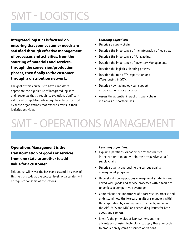# SMT - LOGISTICS

**Integrated logistics is focused on ensuring that your customer needs are satisfied through effective management of processes and activities, from the sourcing of materials and services, through the conversion/production phases, then finally to the customer through a distribution network.**

The goal of this course is to have candidates appreciate the big picture of integrated logistics and recognize that through its evolution, significant value and competitive advantage have been realized by those organizations that expend efforts in their logistics activities.

### *Learning objectives:*

- Describe a supply chain.
- Describe the importance of the integration of logistics.
- Describe the importance of Forecasting.
- Describe the importance of Inventory Management.
- Describe the logistics planning process.
- Describe the role of Transportation and Warehousing in SCM.
- Describe how technology can support integrated logistics processes.
- Assess the potential impact of supply chain initiatives or shortcomings.

# SMT - OPERATIONS MANAGEMENT

### **Operations Management is the transformation of goods or services from one state to another to add value for a customer.**

This course will cover the basic and essential aspects of this field of study at the tactical level. A calculator will be required for some of the lessons.

### *Learning objectives:*

- Explain Operations Management responsibilities in the corporation and within their respective value/ supply chains.
- Describe quality and outline the various quality management programs.
- Understand how operations management strategies are linked with goods and service processes within facilities to achieve a competitive advantage.
- Comprehend the importance of a forecast, its process and understand how the forecast results are managed within the corporation by varying inventory levels, amending the APS, MPS and MRP and scheduling issues for both goods and services.
- Identify the principles of lean systems and the advantages of using technology to apply these concepts to production systems or service operations.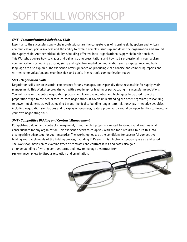# SOFT SKILL WORKSHOP

### *SMT - Communication & Relational Skills*

Essential to the successful supply chain professional are the competencies of listening skills, spoken and written communication, persuasiveness and the ability to explain complex issues up and down the organization and around the supply chain. Another critical ability is building effective inter-organizational supply chain relationships. This Workshop covers how to create and deliver strong presentations and how to be professional in your spoken communications by looking at steak, sizzle and style. Non-verbal communication such as appearance and body language are also explored. The Workshop offers guidance on producing clear, concise and compelling reports and written communication, and examines do's and don'ts in electronic communication today.

### *SMT - Negotiation Skills*

Negotiation skills are an essential competency for any manager, and especially those responsible for supply chain management. This Workshop provides you with a roadmap for leading or participating in successful negotiations. You will focus on the entire negotiation process, and learn the activities and techniques to be used from the preparation stage to the actual face-to-face negotiations. It covers understanding the other negotiator, responding to power imbalances, as well as looking beyond the deal to building longer-term relationships. Interactive activities, including negotiation simulations and role-playing exercises, feature prominently and allow opportunities to fine-tune your own negotiating skills.

### *SMT - Competitive Bidding and Contract Management*

Competitive bidding and contract management, if not handled properly, can lead to serious legal and financial consequences for any organization. This Workshop seeks to equip you with the tools required to turn this into a competitive advantage for your enterprise. The Workshop looks at the conditions for successful competitive bidding and the elements of the bidding process, including RFPs and RFQs. Electronic tendering is also addressed. The Workshop moves on to examine types of contracts and contract law. Candidates also gain an understanding of writing contract terms and how to manage a contract from performance review to dispute resolution and termination.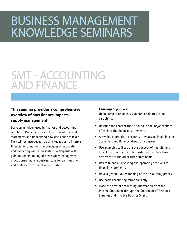# BUSINESS MANAGEMENT KNOWLEDGE SEMINARS

## SMT - ACCOUNTING AND FINANCE

### **This seminar provides a comprehensive overview of how finance impacts supply management.**

Basic terminology used in finance and accounting is defined. Participants learn how to read financial statements and understand how decisions are taken. They will be introduced to using key ratios to interpret financial information. The principles of accounting and budgeting will be presented. Participants will gain an understanding of how supply management practitioners make a business case for an investment and evaluate investment opportunities.

### *Learning objectives:*

Upon completion of this seminar candidates should be able to:

- Describe the content that is found in the major sections of each of the financial statements.
- Assemble appropriate accounts to create a simple Income Statement and Balance Sheet for a business.
- Use examples to illustrate the concept of liquidity and be able to describe the relationship of the Cash Flow Statement to the other three statements.
- Relate financial, investing and operating decisions to financial statements.
- Have a general understanding of the accounting process.
- Use basic accounting terms correctly.
- Trace the flow of accounting information from the Income Statement through the Statement of Retained Earnings and into the Balance Sheet.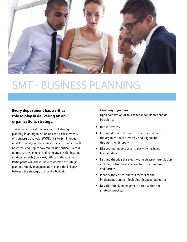

# SMT - BUSINESS PLANNING

### **Every department has a critical role to play in delivering on an organization's strategy.**

This seminar provides an overview of strategic planning in an organization and the basic elements of a strategic analysis (SWOT). The Porter 5-forces model for analyzing the competitive environment will be introduced. Topics covered include critical success factors, strategic maps and company positioning, and strategic models (low-cost, differentiation, niche). Participants will discuss how to develop a strategic plan in a supply management role and the linkages between the strategic plan and a budget.

### *Learning objectives:*

Upon completion of this seminar candidates should be able to:

- Define strategy.
- List and describe the role of strategy relative to the organizational hierarchy and alignment through the hierarchy.
- Discuss two models used to describe business level strategy.
- List and describe the steps within strategy formulation including situational analysis tools such as SWOT and Porter's 5.
- Identify the critical success factors of the implementation plan including financial budgeting.
- Describe supply management's role within the strategic process.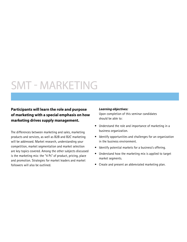# SMT - MARKETING

### **Participants will learn the role and purpose of marketing with a special emphasis on how marketing drives supply management.**

The differences between marketing and sales, marketing products and services, as well as B2B and B2C marketing will be addressed. Market research, understanding your competition, market segmentation and market selection are key topics covered. Among the other subjects discussed is the marketing mix: the "4 Ps" of product, pricing, place and promotion. Strategies for market leaders and market followers will also be outlined.

### *Learning objectives:*

Upon completion of this seminar candidates should be able to:

- Understand the role and importance of marketing in a business organization.
- Identify opportunities and challenges for an organization in the business environment.
- Identify potential markets for a business's offering.
- Understand how the marketing mix is applied to target market segments.
- Create and present an abbreviated marketing plan.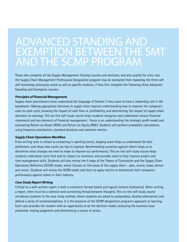## ADVANCED STANDING AND EXEMPTION BETWEEN THE SMT AND THE SCMP PROGRAM

Those who complete all the Supply Management Training courses and seminars, and also qualify for entry into the Supply Chain Management Professional Designation program may be exempted from repeating the three soft skill workshops previously noted as well as specific modules, if they first complete the following three Advanced Standing and Exemption courses:

#### *Principles of Financial Management*

Supply chain practitioners must understand the language of finance if they want to have a leadership role in the boardroom. Making appropriate decisions in supply chain requires understanding how to improve the company's cash-to-cash cycle, knowing the impact of cash flow vs. profitability, and determining the impact of supply chain decisions on earnings. This on-line self-study course helps students recognize and understand various financial statements and key elements of financial management. Focus is on understanding the strategic profit model and calculating Return on Assets (ROA) and Return on Equity (ROE). Students will perform probability calculations, using frequency distribution, standard deviation and variation metrics.

#### *Supply Chain Operations Workflow*

From writing tests in school to competing in sporting events, keeping score helps us understand the best performers, and those who could use tips to improve. Benchmarking ourselves against others helps us to determine what changes we need to make to improve our performance. This on-line self-study course helps students understand cycle time and its impact on inventory, and provides tools to help improve project and time management skills. Students will also review the 5 steps of the Theory of Constraints and the Supply Chain Operations Reference (SCOR) model, which focuses on five areas of the supply chain – plan, source, make, deliver and return. Students will review the SCOR model and learn to apply metrics to benchmark their company's performance against others in their industry.

#### *Case Study Report Writing*

Critical to a well-written report is both a consistent format (style) and logical content (substance). When writing a report, there must be a cohesive and connecting thread between thoughts. This on-line self-study course introduces students to the case study method, where students are asked to analyzedata, develop alternatives and defend a series of recommendations. It is the keystone of the SCMP designation program's approach to learning. Each case provides the student with an opportunity to be the decision-maker, analyzing the business issue presented, making judgments and determining a course of action.